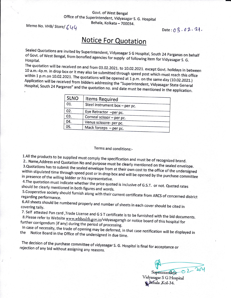## Govt. of West Bengal Office of the Superintendent, Vidyasagar S. G. Hospital

Behala, Kolkata - 700034.

Memo No. VHB/Store/ $644$ 

Date:  $03.02.24$ ,

## **Notice For Quotation**

sealed Quotations are invited by superintendent, vidyasagar s G Hospital, south 24 parganas on behalf of Govt. of West Bengal, from bonafied agencies for supply of following item for Vidyasagar S. G.<br>Hospital.

The 10 a.m.-4p.m. quotation will in drop The quotation will be received on and from 03.02.2021. to 10.02.2021. except Govt. holidays in between<br>10 a.m.-4p.m. in drop box or it may also be submitted through speed post which must reach this office<br>within 1 p.m.on 1 within 1 p.m.on 10.02.2021. The quotations will be opened at 1 p.m. on the same day (10.02.2021.<br>Application will be received from biddors addressing the same of the same day (10.02.2021. Hospital, South will be received from bidders addressing the "Superintendent, Vidyasagar State General<br>uth 24 Parganas" and the quotation no. and date must be mentioned in the application.

| <b>SLNO</b> | <b>Items Required</b>          |  |
|-------------|--------------------------------|--|
| 01.         | Steel instrument box - per pc. |  |
| 02.         | Eye Retractor -per pc.         |  |
| 03.         | Corneal scissor - per pc.      |  |
| 04.         | Venus scissore- per pc.        |  |
| 05.         | Mack forceps - per pc.         |  |

## Terms and conditions:-

1.All the products LAII the products to be supplied must comply the specification and must be of recognized brand.<br>2.. Name,Address and Quotation No and purpose must leave the child of recognized brand.

3.Quotations has 2.. Name, Address and Quotation No and purpose must be clearly mentioned on the sealed envelope. 3. Quotations has to submit the sealed envelope from at their own cost to the office of the undersigned<br>within stipulated time through speed post or in drop bougged a ill. in presence of the time through speed post or in drop box and will be opened by the purchase committee<br>bidder or his representative. in presence of the willing bidder or his representative.

4. The quotation must indicate whether the price quoted should be clearly mentioned in both figures and words. le whether the price quoted is inclusive of G.S.T. or not. Quoted rates<br>in both figures and words.

5. Cooperative society should furnish along with their current certificate from ARCS of concerned district regarding performance. 6.All sheets

covering tally. ets should be numbered properly and number of sheets in each cover should be cited in<br>tally. 7. Self attested Pan card

. Sen attested Pan card ,Trade License and G S T certificate is to be furnished with the bid documents.<br>8.Please refer to Website www.whbeelth.comin/vidue further corrigendum (if any) during the period of processing. 8. Please refer to Website www.wbhealth.gov.in/vidyasagarsgh or notice board of this hospital for In case of necessity,

In case of necessity, the trade of opening may be deferred, in that case notification will be displayed in<br>the Motice Board in the Office of the undersigned in due time.

rejection of any The decision of the purchase committee of vidyasagar s. G. Hospital is final for acceptance or bid without assigning any reasons.

Superintendent  $O2 - 20$ 

Vidyasagar S G Hospital Behala ,Kol-34.